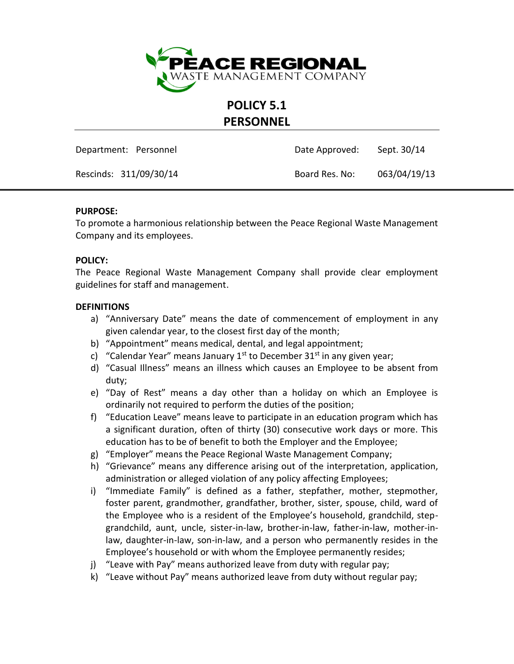

**POLICY 5.1**

# **PERSONNEL**

Department: Personnel **Date Approved:** Sept. 30/14

Rescinds: 311/09/30/14 Board Res. No: 063/04/19/13

#### **PURPOSE:**

To promote a harmonious relationship between the Peace Regional Waste Management Company and its employees.

#### **POLICY:**

The Peace Regional Waste Management Company shall provide clear employment guidelines for staff and management.

#### **DEFINITIONS**

- a) "Anniversary Date" means the date of commencement of employment in any given calendar year, to the closest first day of the month;
- b) "Appointment" means medical, dental, and legal appointment;
- c) "Calendar Year" means January  $1^{st}$  to December 31 $^{st}$  in any given year;
- d) "Casual Illness" means an illness which causes an Employee to be absent from duty;
- e) "Day of Rest" means a day other than a holiday on which an Employee is ordinarily not required to perform the duties of the position;
- f) "Education Leave" means leave to participate in an education program which has a significant duration, often of thirty (30) consecutive work days or more. This education has to be of benefit to both the Employer and the Employee;
- g) "Employer" means the Peace Regional Waste Management Company;
- h) "Grievance" means any difference arising out of the interpretation, application, administration or alleged violation of any policy affecting Employees;
- i) "Immediate Family" is defined as a father, stepfather, mother, stepmother, foster parent, grandmother, grandfather, brother, sister, spouse, child, ward of the Employee who is a resident of the Employee's household, grandchild, stepgrandchild, aunt, uncle, sister-in-law, brother-in-law, father-in-law, mother-inlaw, daughter-in-law, son-in-law, and a person who permanently resides in the Employee's household or with whom the Employee permanently resides;
- j) "Leave with Pay" means authorized leave from duty with regular pay;
- k) "Leave without Pay" means authorized leave from duty without regular pay;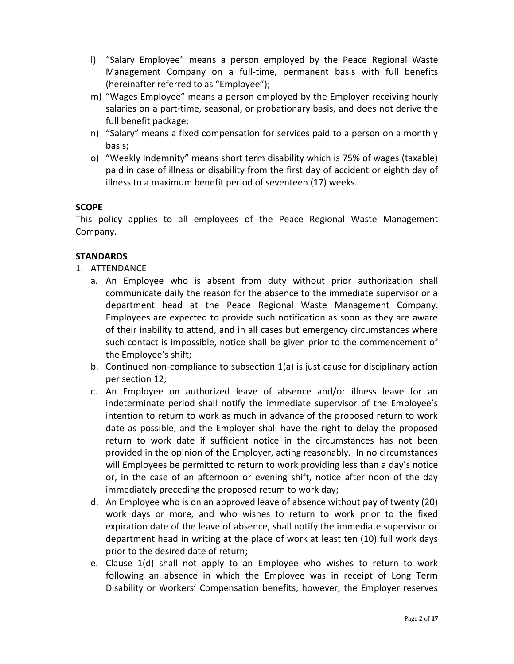- l) "Salary Employee" means a person employed by the Peace Regional Waste Management Company on a full-time, permanent basis with full benefits (hereinafter referred to as "Employee");
- m) "Wages Employee" means a person employed by the Employer receiving hourly salaries on a part-time, seasonal, or probationary basis, and does not derive the full benefit package;
- n) "Salary" means a fixed compensation for services paid to a person on a monthly basis;
- o) "Weekly Indemnity" means short term disability which is 75% of wages (taxable) paid in case of illness or disability from the first day of accident or eighth day of illness to a maximum benefit period of seventeen (17) weeks.

# **SCOPE**

This policy applies to all employees of the Peace Regional Waste Management Company.

# **STANDARDS**

- 1. ATTENDANCE
	- a. An Employee who is absent from duty without prior authorization shall communicate daily the reason for the absence to the immediate supervisor or a department head at the Peace Regional Waste Management Company. Employees are expected to provide such notification as soon as they are aware of their inability to attend, and in all cases but emergency circumstances where such contact is impossible, notice shall be given prior to the commencement of the Employee's shift;
	- b. Continued non-compliance to subsection 1(a) is just cause for disciplinary action per section 12;
	- c. An Employee on authorized leave of absence and/or illness leave for an indeterminate period shall notify the immediate supervisor of the Employee's intention to return to work as much in advance of the proposed return to work date as possible, and the Employer shall have the right to delay the proposed return to work date if sufficient notice in the circumstances has not been provided in the opinion of the Employer, acting reasonably. In no circumstances will Employees be permitted to return to work providing less than a day's notice or, in the case of an afternoon or evening shift, notice after noon of the day immediately preceding the proposed return to work day;
	- d. An Employee who is on an approved leave of absence without pay of twenty (20) work days or more, and who wishes to return to work prior to the fixed expiration date of the leave of absence, shall notify the immediate supervisor or department head in writing at the place of work at least ten (10) full work days prior to the desired date of return;
	- e. Clause 1(d) shall not apply to an Employee who wishes to return to work following an absence in which the Employee was in receipt of Long Term Disability or Workers' Compensation benefits; however, the Employer reserves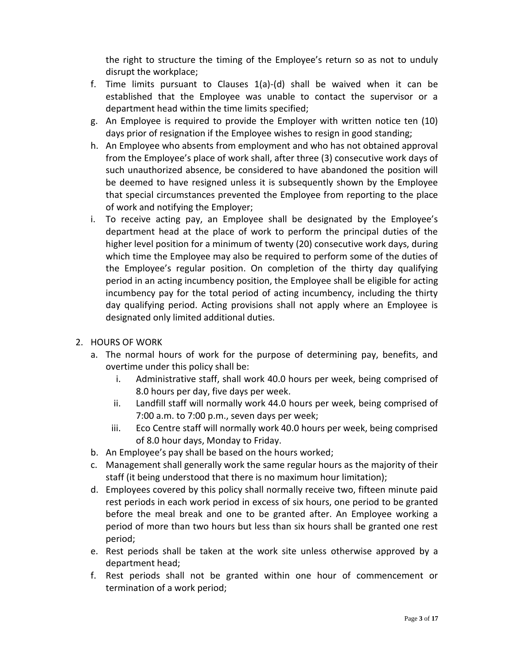the right to structure the timing of the Employee's return so as not to unduly disrupt the workplace;

- f. Time limits pursuant to Clauses  $1(a)$ -(d) shall be waived when it can be established that the Employee was unable to contact the supervisor or a department head within the time limits specified;
- g. An Employee is required to provide the Employer with written notice ten (10) days prior of resignation if the Employee wishes to resign in good standing;
- h. An Employee who absents from employment and who has not obtained approval from the Employee's place of work shall, after three (3) consecutive work days of such unauthorized absence, be considered to have abandoned the position will be deemed to have resigned unless it is subsequently shown by the Employee that special circumstances prevented the Employee from reporting to the place of work and notifying the Employer;
- i. To receive acting pay, an Employee shall be designated by the Employee's department head at the place of work to perform the principal duties of the higher level position for a minimum of twenty (20) consecutive work days, during which time the Employee may also be required to perform some of the duties of the Employee's regular position. On completion of the thirty day qualifying period in an acting incumbency position, the Employee shall be eligible for acting incumbency pay for the total period of acting incumbency, including the thirty day qualifying period. Acting provisions shall not apply where an Employee is designated only limited additional duties.
- 2. HOURS OF WORK
	- a. The normal hours of work for the purpose of determining pay, benefits, and overtime under this policy shall be:
		- i. Administrative staff, shall work 40.0 hours per week, being comprised of 8.0 hours per day, five days per week.
		- ii. Landfill staff will normally work 44.0 hours per week, being comprised of 7:00 a.m. to 7:00 p.m., seven days per week;
		- iii. Eco Centre staff will normally work 40.0 hours per week, being comprised of 8.0 hour days, Monday to Friday.
	- b. An Employee's pay shall be based on the hours worked;
	- c. Management shall generally work the same regular hours as the majority of their staff (it being understood that there is no maximum hour limitation);
	- d. Employees covered by this policy shall normally receive two, fifteen minute paid rest periods in each work period in excess of six hours, one period to be granted before the meal break and one to be granted after. An Employee working a period of more than two hours but less than six hours shall be granted one rest period;
	- e. Rest periods shall be taken at the work site unless otherwise approved by a department head;
	- f. Rest periods shall not be granted within one hour of commencement or termination of a work period;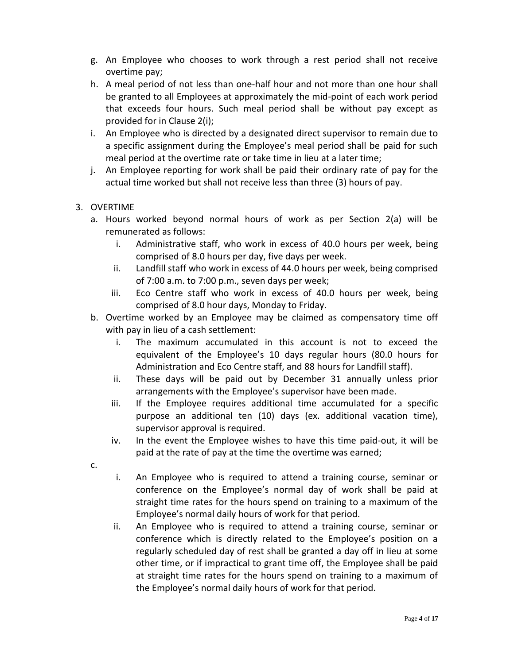- g. An Employee who chooses to work through a rest period shall not receive overtime pay;
- h. A meal period of not less than one-half hour and not more than one hour shall be granted to all Employees at approximately the mid-point of each work period that exceeds four hours. Such meal period shall be without pay except as provided for in Clause 2(i);
- i. An Employee who is directed by a designated direct supervisor to remain due to a specific assignment during the Employee's meal period shall be paid for such meal period at the overtime rate or take time in lieu at a later time;
- j. An Employee reporting for work shall be paid their ordinary rate of pay for the actual time worked but shall not receive less than three (3) hours of pay.

# 3. OVERTIME

- a. Hours worked beyond normal hours of work as per Section 2(a) will be remunerated as follows:
	- i. Administrative staff, who work in excess of 40.0 hours per week, being comprised of 8.0 hours per day, five days per week.
	- ii. Landfill staff who work in excess of 44.0 hours per week, being comprised of 7:00 a.m. to 7:00 p.m., seven days per week;
	- iii. Eco Centre staff who work in excess of 40.0 hours per week, being comprised of 8.0 hour days, Monday to Friday.
- b. Overtime worked by an Employee may be claimed as compensatory time off with pay in lieu of a cash settlement:
	- i. The maximum accumulated in this account is not to exceed the equivalent of the Employee's 10 days regular hours (80.0 hours for Administration and Eco Centre staff, and 88 hours for Landfill staff).
	- ii. These days will be paid out by December 31 annually unless prior arrangements with the Employee's supervisor have been made.
	- iii. If the Employee requires additional time accumulated for a specific purpose an additional ten (10) days (ex. additional vacation time), supervisor approval is required.
	- iv. In the event the Employee wishes to have this time paid-out, it will be paid at the rate of pay at the time the overtime was earned;
- c.
- i. An Employee who is required to attend a training course, seminar or conference on the Employee's normal day of work shall be paid at straight time rates for the hours spend on training to a maximum of the Employee's normal daily hours of work for that period.
- ii. An Employee who is required to attend a training course, seminar or conference which is directly related to the Employee's position on a regularly scheduled day of rest shall be granted a day off in lieu at some other time, or if impractical to grant time off, the Employee shall be paid at straight time rates for the hours spend on training to a maximum of the Employee's normal daily hours of work for that period.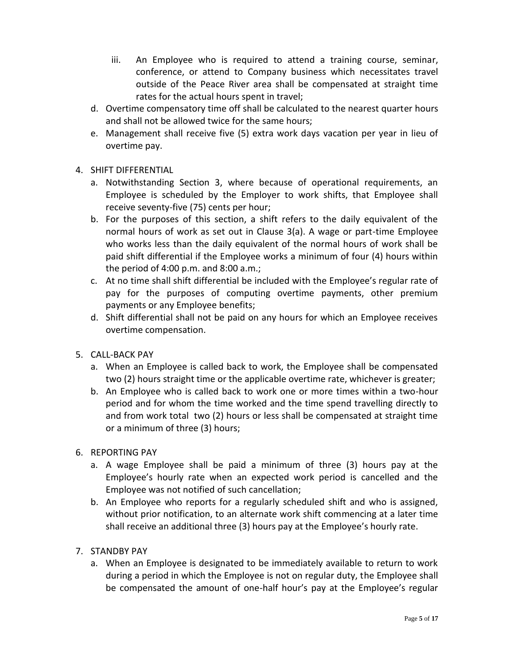- iii. An Employee who is required to attend a training course, seminar, conference, or attend to Company business which necessitates travel outside of the Peace River area shall be compensated at straight time rates for the actual hours spent in travel;
- d. Overtime compensatory time off shall be calculated to the nearest quarter hours and shall not be allowed twice for the same hours;
- e. Management shall receive five (5) extra work days vacation per year in lieu of overtime pay.

# 4. SHIFT DIFFERENTIAL

- a. Notwithstanding Section 3, where because of operational requirements, an Employee is scheduled by the Employer to work shifts, that Employee shall receive seventy-five (75) cents per hour;
- b. For the purposes of this section, a shift refers to the daily equivalent of the normal hours of work as set out in Clause 3(a). A wage or part-time Employee who works less than the daily equivalent of the normal hours of work shall be paid shift differential if the Employee works a minimum of four (4) hours within the period of 4:00 p.m. and 8:00 a.m.;
- c. At no time shall shift differential be included with the Employee's regular rate of pay for the purposes of computing overtime payments, other premium payments or any Employee benefits;
- d. Shift differential shall not be paid on any hours for which an Employee receives overtime compensation.
- 5. CALL-BACK PAY
	- a. When an Employee is called back to work, the Employee shall be compensated two (2) hours straight time or the applicable overtime rate, whichever is greater;
	- b. An Employee who is called back to work one or more times within a two-hour period and for whom the time worked and the time spend travelling directly to and from work total two (2) hours or less shall be compensated at straight time or a minimum of three (3) hours;
- 6. REPORTING PAY
	- a. A wage Employee shall be paid a minimum of three (3) hours pay at the Employee's hourly rate when an expected work period is cancelled and the Employee was not notified of such cancellation;
	- b. An Employee who reports for a regularly scheduled shift and who is assigned, without prior notification, to an alternate work shift commencing at a later time shall receive an additional three (3) hours pay at the Employee's hourly rate.
- 7. STANDBY PAY
	- a. When an Employee is designated to be immediately available to return to work during a period in which the Employee is not on regular duty, the Employee shall be compensated the amount of one-half hour's pay at the Employee's regular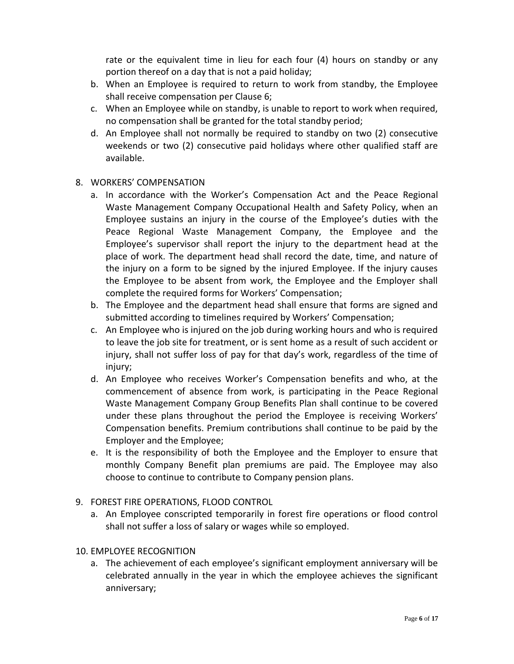rate or the equivalent time in lieu for each four (4) hours on standby or any portion thereof on a day that is not a paid holiday;

- b. When an Employee is required to return to work from standby, the Employee shall receive compensation per Clause 6;
- c. When an Employee while on standby, is unable to report to work when required, no compensation shall be granted for the total standby period;
- d. An Employee shall not normally be required to standby on two (2) consecutive weekends or two (2) consecutive paid holidays where other qualified staff are available.

### 8. WORKERS' COMPENSATION

- a. In accordance with the Worker's Compensation Act and the Peace Regional Waste Management Company Occupational Health and Safety Policy, when an Employee sustains an injury in the course of the Employee's duties with the Peace Regional Waste Management Company, the Employee and the Employee's supervisor shall report the injury to the department head at the place of work. The department head shall record the date, time, and nature of the injury on a form to be signed by the injured Employee. If the injury causes the Employee to be absent from work, the Employee and the Employer shall complete the required forms for Workers' Compensation;
- b. The Employee and the department head shall ensure that forms are signed and submitted according to timelines required by Workers' Compensation;
- c. An Employee who is injured on the job during working hours and who is required to leave the job site for treatment, or is sent home as a result of such accident or injury, shall not suffer loss of pay for that day's work, regardless of the time of injury;
- d. An Employee who receives Worker's Compensation benefits and who, at the commencement of absence from work, is participating in the Peace Regional Waste Management Company Group Benefits Plan shall continue to be covered under these plans throughout the period the Employee is receiving Workers' Compensation benefits. Premium contributions shall continue to be paid by the Employer and the Employee;
- e. It is the responsibility of both the Employee and the Employer to ensure that monthly Company Benefit plan premiums are paid. The Employee may also choose to continue to contribute to Company pension plans.
- 9. FOREST FIRE OPERATIONS, FLOOD CONTROL
	- a. An Employee conscripted temporarily in forest fire operations or flood control shall not suffer a loss of salary or wages while so employed.
- 10. EMPLOYEE RECOGNITION
	- a. The achievement of each employee's significant employment anniversary will be celebrated annually in the year in which the employee achieves the significant anniversary;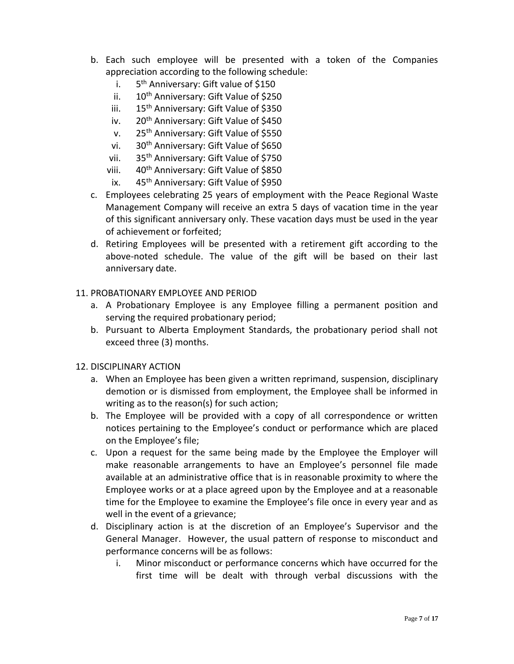- b. Each such employee will be presented with a token of the Companies appreciation according to the following schedule:
	- $i$ . 5<sup>th</sup> Anniversary: Gift value of \$150
	- ii. 10<sup>th</sup> Anniversary: Gift Value of \$250
	- iii. 15<sup>th</sup> Anniversary: Gift Value of \$350
	- iv. 20<sup>th</sup> Anniversary: Gift Value of \$450
	- v. 25th Anniversary: Gift Value of \$550
	- vi. 30<sup>th</sup> Anniversary: Gift Value of \$650
	- vii. 35<sup>th</sup> Anniversary: Gift Value of \$750
	- viii. 40<sup>th</sup> Anniversary: Gift Value of \$850
	- ix. 45<sup>th</sup> Anniversary: Gift Value of \$950
- c. Employees celebrating 25 years of employment with the Peace Regional Waste Management Company will receive an extra 5 days of vacation time in the year of this significant anniversary only. These vacation days must be used in the year of achievement or forfeited;
- d. Retiring Employees will be presented with a retirement gift according to the above-noted schedule. The value of the gift will be based on their last anniversary date.

### 11. PROBATIONARY EMPLOYEE AND PERIOD

- a. A Probationary Employee is any Employee filling a permanent position and serving the required probationary period;
- b. Pursuant to Alberta Employment Standards, the probationary period shall not exceed three (3) months.

#### 12. DISCIPLINARY ACTION

- a. When an Employee has been given a written reprimand, suspension, disciplinary demotion or is dismissed from employment, the Employee shall be informed in writing as to the reason(s) for such action;
- b. The Employee will be provided with a copy of all correspondence or written notices pertaining to the Employee's conduct or performance which are placed on the Employee's file;
- c. Upon a request for the same being made by the Employee the Employer will make reasonable arrangements to have an Employee's personnel file made available at an administrative office that is in reasonable proximity to where the Employee works or at a place agreed upon by the Employee and at a reasonable time for the Employee to examine the Employee's file once in every year and as well in the event of a grievance;
- d. Disciplinary action is at the discretion of an Employee's Supervisor and the General Manager. However, the usual pattern of response to misconduct and performance concerns will be as follows:
	- i. Minor misconduct or performance concerns which have occurred for the first time will be dealt with through verbal discussions with the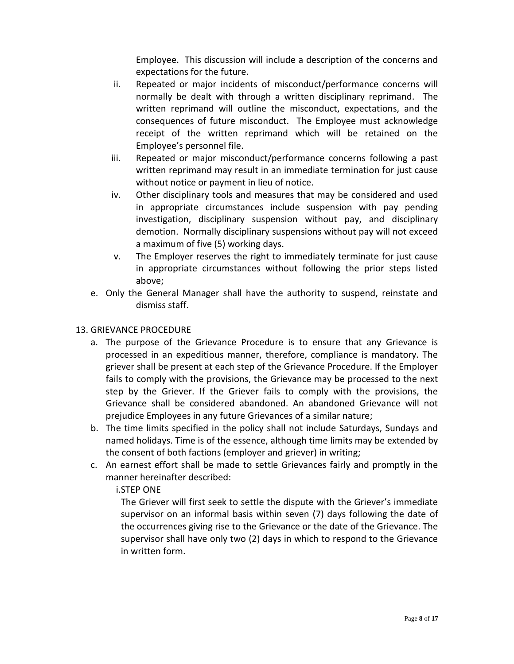Employee. This discussion will include a description of the concerns and expectations for the future.

- ii. Repeated or major incidents of misconduct/performance concerns will normally be dealt with through a written disciplinary reprimand. The written reprimand will outline the misconduct, expectations, and the consequences of future misconduct. The Employee must acknowledge receipt of the written reprimand which will be retained on the Employee's personnel file.
- iii. Repeated or major misconduct/performance concerns following a past written reprimand may result in an immediate termination for just cause without notice or payment in lieu of notice.
- iv. Other disciplinary tools and measures that may be considered and used in appropriate circumstances include suspension with pay pending investigation, disciplinary suspension without pay, and disciplinary demotion. Normally disciplinary suspensions without pay will not exceed a maximum of five (5) working days.
- v. The Employer reserves the right to immediately terminate for just cause in appropriate circumstances without following the prior steps listed above;
- e. Only the General Manager shall have the authority to suspend, reinstate and dismiss staff.

# 13. GRIEVANCE PROCEDURE

- a. The purpose of the Grievance Procedure is to ensure that any Grievance is processed in an expeditious manner, therefore, compliance is mandatory. The griever shall be present at each step of the Grievance Procedure. If the Employer fails to comply with the provisions, the Grievance may be processed to the next step by the Griever. If the Griever fails to comply with the provisions, the Grievance shall be considered abandoned. An abandoned Grievance will not prejudice Employees in any future Grievances of a similar nature;
- b. The time limits specified in the policy shall not include Saturdays, Sundays and named holidays. Time is of the essence, although time limits may be extended by the consent of both factions (employer and griever) in writing;
- c. An earnest effort shall be made to settle Grievances fairly and promptly in the manner hereinafter described:

# i.STEP ONE

The Griever will first seek to settle the dispute with the Griever's immediate supervisor on an informal basis within seven (7) days following the date of the occurrences giving rise to the Grievance or the date of the Grievance. The supervisor shall have only two (2) days in which to respond to the Grievance in written form.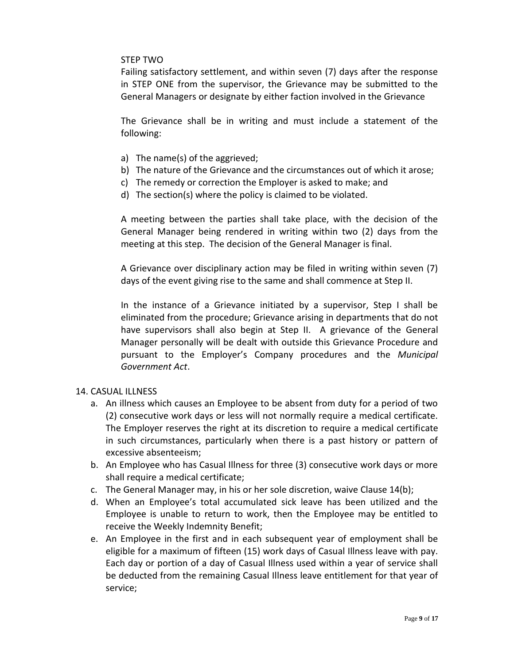#### STEP TWO

Failing satisfactory settlement, and within seven (7) days after the response in STEP ONE from the supervisor, the Grievance may be submitted to the General Managers or designate by either faction involved in the Grievance

The Grievance shall be in writing and must include a statement of the following:

- a) The name(s) of the aggrieved;
- b) The nature of the Grievance and the circumstances out of which it arose;
- c) The remedy or correction the Employer is asked to make; and
- d) The section(s) where the policy is claimed to be violated.

A meeting between the parties shall take place, with the decision of the General Manager being rendered in writing within two (2) days from the meeting at this step. The decision of the General Manager is final.

A Grievance over disciplinary action may be filed in writing within seven (7) days of the event giving rise to the same and shall commence at Step II.

In the instance of a Grievance initiated by a supervisor, Step I shall be eliminated from the procedure; Grievance arising in departments that do not have supervisors shall also begin at Step II. A grievance of the General Manager personally will be dealt with outside this Grievance Procedure and pursuant to the Employer's Company procedures and the *Municipal Government Act*.

#### 14. CASUAL ILLNESS

- a. An illness which causes an Employee to be absent from duty for a period of two (2) consecutive work days or less will not normally require a medical certificate. The Employer reserves the right at its discretion to require a medical certificate in such circumstances, particularly when there is a past history or pattern of excessive absenteeism;
- b. An Employee who has Casual Illness for three (3) consecutive work days or more shall require a medical certificate;
- c. The General Manager may, in his or her sole discretion, waive Clause 14(b);
- d. When an Employee's total accumulated sick leave has been utilized and the Employee is unable to return to work, then the Employee may be entitled to receive the Weekly Indemnity Benefit;
- e. An Employee in the first and in each subsequent year of employment shall be eligible for a maximum of fifteen (15) work days of Casual Illness leave with pay. Each day or portion of a day of Casual Illness used within a year of service shall be deducted from the remaining Casual Illness leave entitlement for that year of service;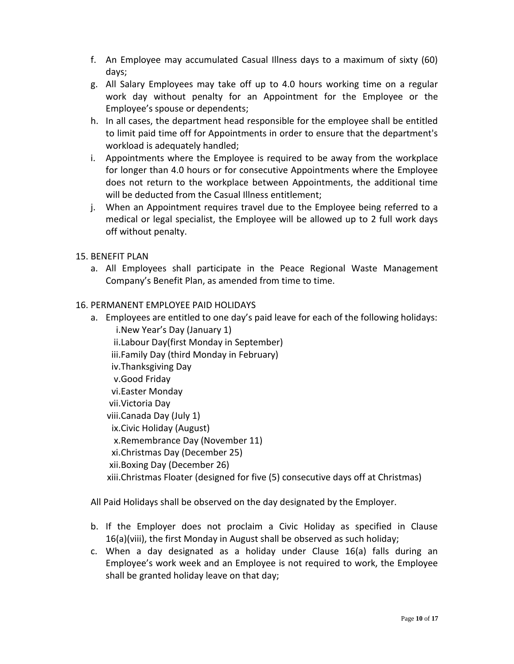- f. An Employee may accumulated Casual Illness days to a maximum of sixty (60) days;
- g. All Salary Employees may take off up to 4.0 hours working time on a regular work day without penalty for an Appointment for the Employee or the Employee's spouse or dependents;
- h. In all cases, the department head responsible for the employee shall be entitled to limit paid time off for Appointments in order to ensure that the department's workload is adequately handled;
- i. Appointments where the Employee is required to be away from the workplace for longer than 4.0 hours or for consecutive Appointments where the Employee does not return to the workplace between Appointments, the additional time will be deducted from the Casual Illness entitlement;
- j. When an Appointment requires travel due to the Employee being referred to a medical or legal specialist, the Employee will be allowed up to 2 full work days off without penalty.
- 15. BENEFIT PLAN
	- a. All Employees shall participate in the Peace Regional Waste Management Company's Benefit Plan, as amended from time to time.

#### 16. PERMANENT EMPLOYEE PAID HOLIDAYS

- a. Employees are entitled to one day's paid leave for each of the following holidays: i.New Year's Day (January 1)
	- ii.Labour Day(first Monday in September)
	- iii.Family Day (third Monday in February)
	- iv.Thanksgiving Day
	- v.Good Friday
	- vi.Easter Monday
	- vii.Victoria Day
	- viii.Canada Day (July 1)
	- ix.Civic Holiday (August)
	- x.Remembrance Day (November 11)
	- xi.Christmas Day (December 25)
	- xii.Boxing Day (December 26)

xiii.Christmas Floater (designed for five (5) consecutive days off at Christmas)

All Paid Holidays shall be observed on the day designated by the Employer.

- b. If the Employer does not proclaim a Civic Holiday as specified in Clause 16(a)(viii), the first Monday in August shall be observed as such holiday;
- c. When a day designated as a holiday under Clause 16(a) falls during an Employee's work week and an Employee is not required to work, the Employee shall be granted holiday leave on that day;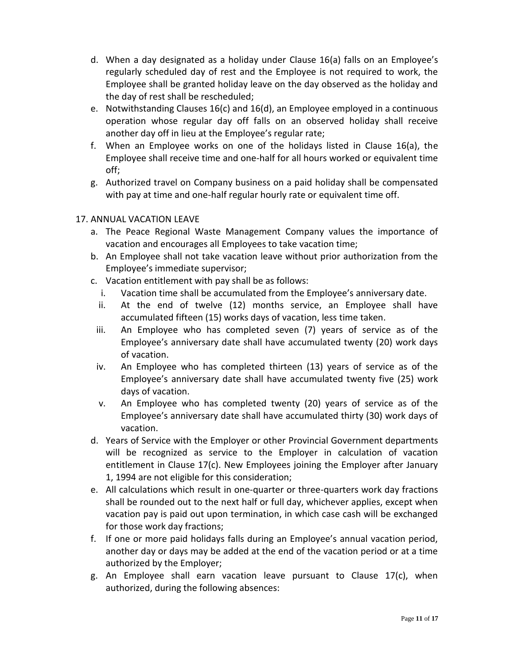- d. When a day designated as a holiday under Clause 16(a) falls on an Employee's regularly scheduled day of rest and the Employee is not required to work, the Employee shall be granted holiday leave on the day observed as the holiday and the day of rest shall be rescheduled;
- e. Notwithstanding Clauses 16(c) and 16(d), an Employee employed in a continuous operation whose regular day off falls on an observed holiday shall receive another day off in lieu at the Employee's regular rate;
- f. When an Employee works on one of the holidays listed in Clause 16(a), the Employee shall receive time and one-half for all hours worked or equivalent time off;
- g. Authorized travel on Company business on a paid holiday shall be compensated with pay at time and one-half regular hourly rate or equivalent time off.

# 17. ANNUAL VACATION LEAVE

- a. The Peace Regional Waste Management Company values the importance of vacation and encourages all Employees to take vacation time;
- b. An Employee shall not take vacation leave without prior authorization from the Employee's immediate supervisor;
- c. Vacation entitlement with pay shall be as follows:
	- i. Vacation time shall be accumulated from the Employee's anniversary date.
	- ii. At the end of twelve (12) months service, an Employee shall have accumulated fifteen (15) works days of vacation, less time taken.
- iii. An Employee who has completed seven (7) years of service as of the Employee's anniversary date shall have accumulated twenty (20) work days of vacation.
- iv. An Employee who has completed thirteen (13) years of service as of the Employee's anniversary date shall have accumulated twenty five (25) work days of vacation.
- v. An Employee who has completed twenty (20) years of service as of the Employee's anniversary date shall have accumulated thirty (30) work days of vacation.
- d. Years of Service with the Employer or other Provincial Government departments will be recognized as service to the Employer in calculation of vacation entitlement in Clause 17(c). New Employees joining the Employer after January 1, 1994 are not eligible for this consideration;
- e. All calculations which result in one-quarter or three-quarters work day fractions shall be rounded out to the next half or full day, whichever applies, except when vacation pay is paid out upon termination, in which case cash will be exchanged for those work day fractions;
- f. If one or more paid holidays falls during an Employee's annual vacation period, another day or days may be added at the end of the vacation period or at a time authorized by the Employer;
- g. An Employee shall earn vacation leave pursuant to Clause 17(c), when authorized, during the following absences: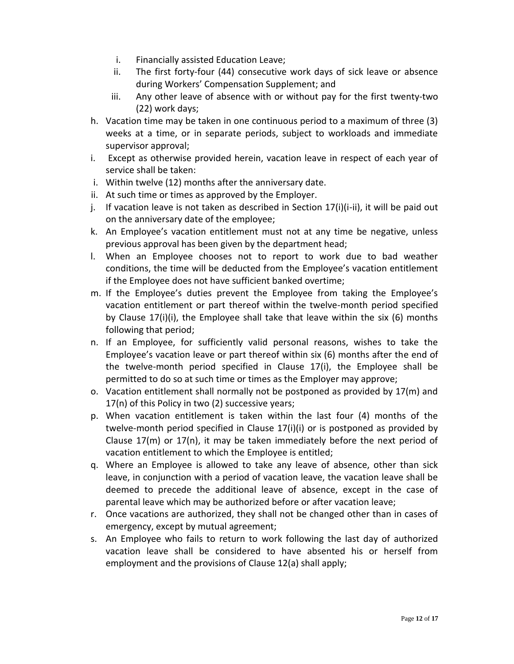- i. Financially assisted Education Leave;
- ii. The first forty-four (44) consecutive work days of sick leave or absence during Workers' Compensation Supplement; and
- iii. Any other leave of absence with or without pay for the first twenty-two (22) work days;
- h. Vacation time may be taken in one continuous period to a maximum of three (3) weeks at a time, or in separate periods, subject to workloads and immediate supervisor approval;
- i. Except as otherwise provided herein, vacation leave in respect of each year of service shall be taken:
- i. Within twelve (12) months after the anniversary date.
- ii. At such time or times as approved by the Employer.
- j. If vacation leave is not taken as described in Section 17(i)(i-ii), it will be paid out on the anniversary date of the employee;
- k. An Employee's vacation entitlement must not at any time be negative, unless previous approval has been given by the department head;
- l. When an Employee chooses not to report to work due to bad weather conditions, the time will be deducted from the Employee's vacation entitlement if the Employee does not have sufficient banked overtime;
- m. If the Employee's duties prevent the Employee from taking the Employee's vacation entitlement or part thereof within the twelve-month period specified by Clause 17(i)(i), the Employee shall take that leave within the six (6) months following that period;
- n. If an Employee, for sufficiently valid personal reasons, wishes to take the Employee's vacation leave or part thereof within six (6) months after the end of the twelve-month period specified in Clause 17(i), the Employee shall be permitted to do so at such time or times as the Employer may approve;
- o. Vacation entitlement shall normally not be postponed as provided by 17(m) and 17(n) of this Policy in two (2) successive years;
- p. When vacation entitlement is taken within the last four (4) months of the twelve-month period specified in Clause 17(i)(i) or is postponed as provided by Clause 17(m) or 17(n), it may be taken immediately before the next period of vacation entitlement to which the Employee is entitled;
- q. Where an Employee is allowed to take any leave of absence, other than sick leave, in conjunction with a period of vacation leave, the vacation leave shall be deemed to precede the additional leave of absence, except in the case of parental leave which may be authorized before or after vacation leave;
- r. Once vacations are authorized, they shall not be changed other than in cases of emergency, except by mutual agreement;
- s. An Employee who fails to return to work following the last day of authorized vacation leave shall be considered to have absented his or herself from employment and the provisions of Clause 12(a) shall apply;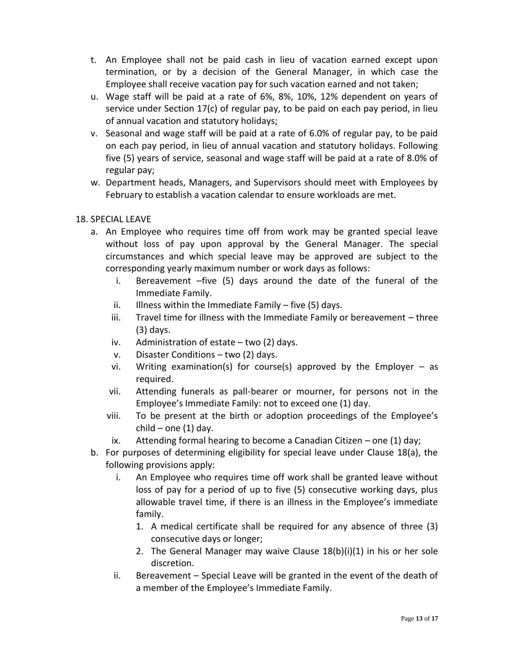- t. An Employee shall not be paid cash in lieu of vacation earned except upon termination, or by a decision of the General Manager, in which case the Employee shall receive vacation pay for such vacation earned and not taken;
- u. Wage staff will be paid at a rate of 6%, 8%, 10%, 12% dependent on years of service under Section 17(c) of regular pay, to be paid on each pay period, in lieu of annual vacation and statutory holidays;
- v. Seasonal and wage staff will be paid at a rate of 6.0% of regular pay, to be paid on each pay period, in lieu of annual vacation and statutory holidays. Following five (5) years of service, seasonal and wage staff will be paid at a rate of 8.0% of regular pay;
- w. Department heads, Managers, and Supervisors should meet with Employees by February to establish a vacation calendar to ensure workloads are met.

# 18. SPECIAL LEAVE

- a. An Employee who requires time off from work may be granted special leave without loss of pay upon approval by the General Manager. The special circumstances and which special leave may be approved are subject to the corresponding yearly maximum number or work days as follows:
	- i. Bereavement –five (5) days around the date of the funeral of the Immediate Family.
	- ii. Illness within the Immediate Family  $-$  five (5) days.
	- iii. Travel time for illness with the Immediate Family or bereavement three (3) days.
	- iv. Administration of estate two (2) days.
	- v. Disaster Conditions two (2) days.
	- vi. Writing examination(s) for course(s) approved by the Employer  $-$  as required.
	- vii. Attending funerals as pall-bearer or mourner, for persons not in the Employee's Immediate Family: not to exceed one (1) day.
	- viii. To be present at the birth or adoption proceedings of the Employee's  $child$  – one (1) day.
	- ix. Attending formal hearing to become a Canadian Citizen one (1) day;
- b. For purposes of determining eligibility for special leave under Clause 18(a), the following provisions apply:
	- i. An Employee who requires time off work shall be granted leave without loss of pay for a period of up to five (5) consecutive working days, plus allowable travel time, if there is an illness in the Employee's immediate family.
		- 1. A medical certificate shall be required for any absence of three (3) consecutive days or longer;
		- 2. The General Manager may waive Clause 18(b)(i)(1) in his or her sole discretion.
	- ii. Bereavement Special Leave will be granted in the event of the death of a member of the Employee's Immediate Family.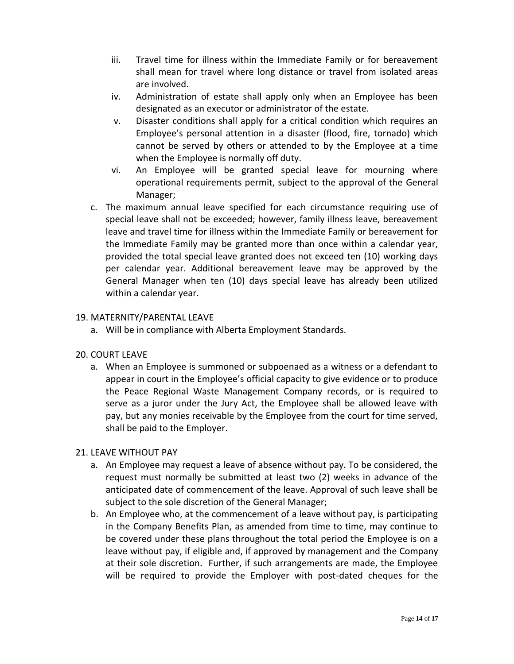- iii. Travel time for illness within the Immediate Family or for bereavement shall mean for travel where long distance or travel from isolated areas are involved.
- iv. Administration of estate shall apply only when an Employee has been designated as an executor or administrator of the estate.
- v. Disaster conditions shall apply for a critical condition which requires an Employee's personal attention in a disaster (flood, fire, tornado) which cannot be served by others or attended to by the Employee at a time when the Employee is normally off duty.
- vi. An Employee will be granted special leave for mourning where operational requirements permit, subject to the approval of the General Manager;
- c. The maximum annual leave specified for each circumstance requiring use of special leave shall not be exceeded; however, family illness leave, bereavement leave and travel time for illness within the Immediate Family or bereavement for the Immediate Family may be granted more than once within a calendar year, provided the total special leave granted does not exceed ten (10) working days per calendar year. Additional bereavement leave may be approved by the General Manager when ten (10) days special leave has already been utilized within a calendar year.

### 19. MATERNITY/PARENTAL LEAVE

a. Will be in compliance with Alberta Employment Standards.

#### 20. COURT LEAVE

a. When an Employee is summoned or subpoenaed as a witness or a defendant to appear in court in the Employee's official capacity to give evidence or to produce the Peace Regional Waste Management Company records, or is required to serve as a juror under the Jury Act, the Employee shall be allowed leave with pay, but any monies receivable by the Employee from the court for time served, shall be paid to the Employer.

#### 21. LEAVE WITHOUT PAY

- a. An Employee may request a leave of absence without pay. To be considered, the request must normally be submitted at least two (2) weeks in advance of the anticipated date of commencement of the leave. Approval of such leave shall be subject to the sole discretion of the General Manager;
- b. An Employee who, at the commencement of a leave without pay, is participating in the Company Benefits Plan, as amended from time to time, may continue to be covered under these plans throughout the total period the Employee is on a leave without pay, if eligible and, if approved by management and the Company at their sole discretion. Further, if such arrangements are made, the Employee will be required to provide the Employer with post-dated cheques for the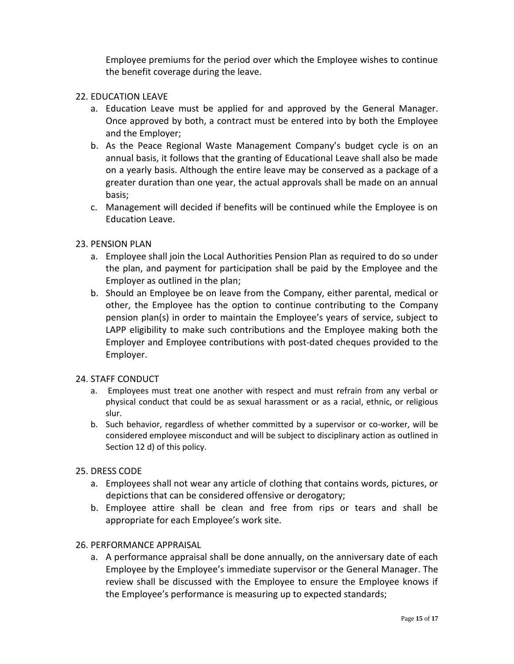Employee premiums for the period over which the Employee wishes to continue the benefit coverage during the leave.

#### 22. EDUCATION LEAVE

- a. Education Leave must be applied for and approved by the General Manager. Once approved by both, a contract must be entered into by both the Employee and the Employer;
- b. As the Peace Regional Waste Management Company's budget cycle is on an annual basis, it follows that the granting of Educational Leave shall also be made on a yearly basis. Although the entire leave may be conserved as a package of a greater duration than one year, the actual approvals shall be made on an annual basis;
- c. Management will decided if benefits will be continued while the Employee is on Education Leave.

#### 23. PENSION PLAN

- a. Employee shall join the Local Authorities Pension Plan as required to do so under the plan, and payment for participation shall be paid by the Employee and the Employer as outlined in the plan;
- b. Should an Employee be on leave from the Company, either parental, medical or other, the Employee has the option to continue contributing to the Company pension plan(s) in order to maintain the Employee's years of service, subject to LAPP eligibility to make such contributions and the Employee making both the Employer and Employee contributions with post-dated cheques provided to the Employer.

#### 24. STAFF CONDUCT

- a. Employees must treat one another with respect and must refrain from any verbal or physical conduct that could be as sexual harassment or as a racial, ethnic, or religious slur.
- b. Such behavior, regardless of whether committed by a supervisor or co-worker, will be considered employee misconduct and will be subject to disciplinary action as outlined in Section 12 d) of this policy.

#### 25. DRESS CODE

- a. Employees shall not wear any article of clothing that contains words, pictures, or depictions that can be considered offensive or derogatory;
- b. Employee attire shall be clean and free from rips or tears and shall be appropriate for each Employee's work site.

#### 26. PERFORMANCE APPRAISAL

a. A performance appraisal shall be done annually, on the anniversary date of each Employee by the Employee's immediate supervisor or the General Manager. The review shall be discussed with the Employee to ensure the Employee knows if the Employee's performance is measuring up to expected standards;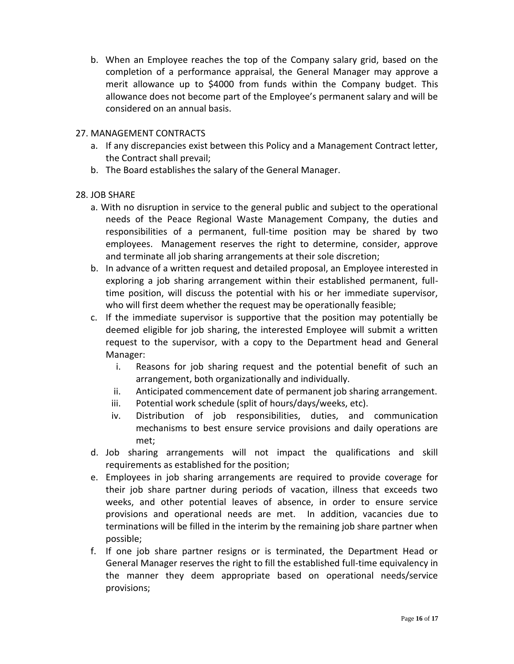b. When an Employee reaches the top of the Company salary grid, based on the completion of a performance appraisal, the General Manager may approve a merit allowance up to \$4000 from funds within the Company budget. This allowance does not become part of the Employee's permanent salary and will be considered on an annual basis.

### 27. MANAGEMENT CONTRACTS

- a. If any discrepancies exist between this Policy and a Management Contract letter, the Contract shall prevail;
- b. The Board establishes the salary of the General Manager.

### 28. JOB SHARE

- a. With no disruption in service to the general public and subject to the operational needs of the Peace Regional Waste Management Company, the duties and responsibilities of a permanent, full-time position may be shared by two employees. Management reserves the right to determine, consider, approve and terminate all job sharing arrangements at their sole discretion;
- b. In advance of a written request and detailed proposal, an Employee interested in exploring a job sharing arrangement within their established permanent, fulltime position, will discuss the potential with his or her immediate supervisor, who will first deem whether the request may be operationally feasible;
- c. If the immediate supervisor is supportive that the position may potentially be deemed eligible for job sharing, the interested Employee will submit a written request to the supervisor, with a copy to the Department head and General Manager:
	- i. Reasons for job sharing request and the potential benefit of such an arrangement, both organizationally and individually.
	- ii. Anticipated commencement date of permanent job sharing arrangement.
	- iii. Potential work schedule (split of hours/days/weeks, etc).
	- iv. Distribution of job responsibilities, duties, and communication mechanisms to best ensure service provisions and daily operations are met;
- d. Job sharing arrangements will not impact the qualifications and skill requirements as established for the position;
- e. Employees in job sharing arrangements are required to provide coverage for their job share partner during periods of vacation, illness that exceeds two weeks, and other potential leaves of absence, in order to ensure service provisions and operational needs are met. In addition, vacancies due to terminations will be filled in the interim by the remaining job share partner when possible;
- f. If one job share partner resigns or is terminated, the Department Head or General Manager reserves the right to fill the established full-time equivalency in the manner they deem appropriate based on operational needs/service provisions;